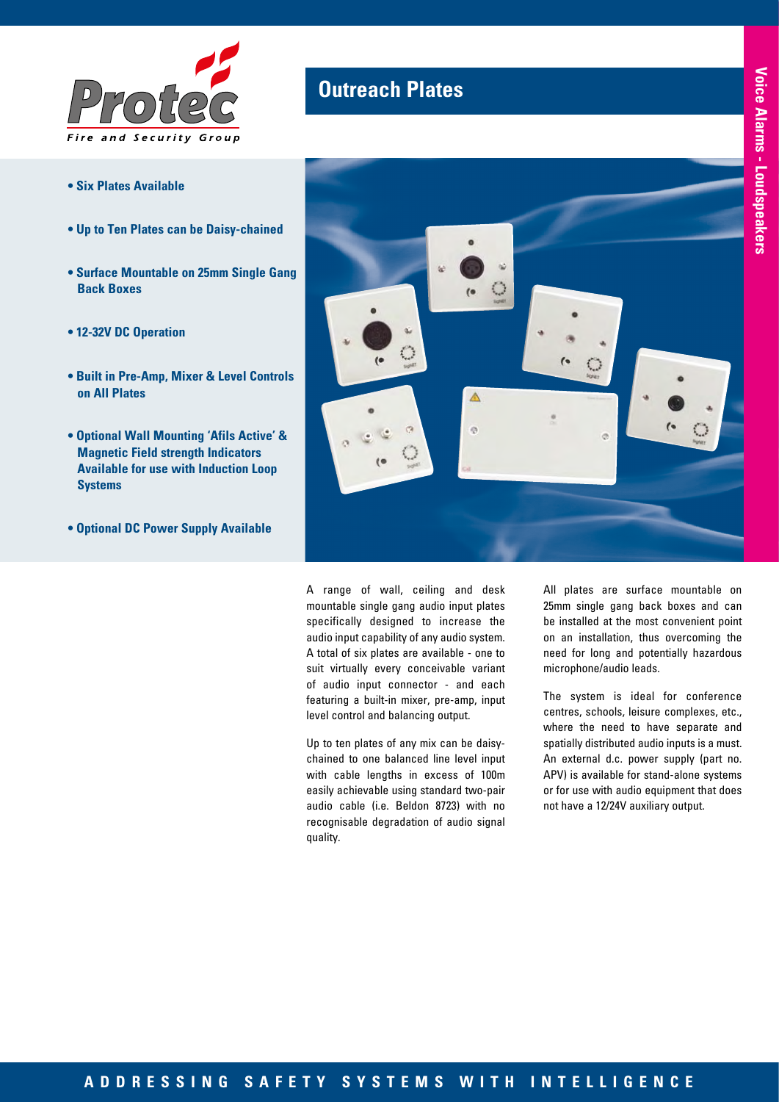

# **Outreach Plates**

- **Six Plates Available**
- **Up to Ten Plates can be Daisy-chained**
- **Surface Mountable on 25mm Single Gang Back Boxes**
- **12-32V DC Operation**
- **Built in Pre-Amp, Mixer & Level Controls on All Plates**
- **Optional Wall Mounting 'Afils Active' & Magnetic Field strength Indicators Available for use with Induction Loop Systems**
- **Optional DC Power Supply Available**



A range of wall, ceiling and desk mountable single gang audio input plates specifically designed to increase the audio input capability of any audio system. A total of six plates are available - one to suit virtually every conceivable variant of audio input connector - and each featuring a built-in mixer, pre-amp, input level control and balancing output.

Up to ten plates of any mix can be daisychained to one balanced line level input with cable lengths in excess of 100m easily achievable using standard two-pair audio cable (i.e. Beldon 8723) with no recognisable degradation of audio signal quality.

All plates are surface mountable on 25mm single gang back boxes and can be installed at the most convenient point on an installation, thus overcoming the need for long and potentially hazardous microphone/audio leads.

The system is ideal for conference centres, schools, leisure complexes, etc., where the need to have separate and spatially distributed audio inputs is a must. An external d.c. power supply (part no. APV) is available for stand-alone systems or for use with audio equipment that does not have a 12/24V auxiliary output.